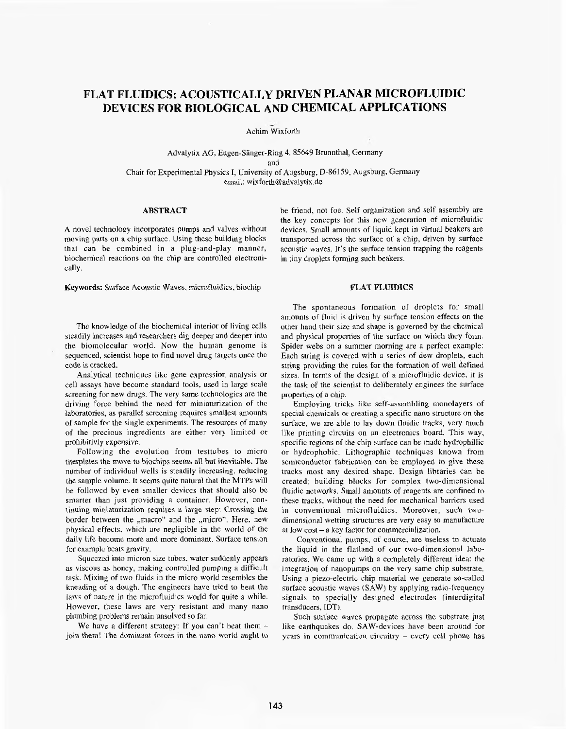# **FLAT FLUIDICS: ACOUSTICALLY DRIVEN PLANAR MICROFLUIDIC DEVlCES FOR BIOLOGICAL AND CHEMICAL APPLICATlONS i**

Achim Wixforth

Advalytix **AG,** Eugen-Sanger-Ring **4,** 85649Brunnthal, Germany and

Chair for Experimental Physics I, University of **Augsburg,** D-86159, Augsburg, Germany cmail: [wixforth@advalytix.de](mailto:wixforth@advalytix.de)

### **ABSTRACT**

**A** novel technology incorporates pumps and valves without **moving** parts on a chip surface. Using these building blocks that can be combined in a plug-and-play manner, biochemical reactions on the chip are controlled electronically.

**Keywords:** Surface Acoustic Waves, microfluidics, biochip

The knowledge of the biochemical interior of living cells steadily increases **and** researchers dig deeper and deeper into the biomolecular world. Now the human genome is sequenced, scientist hope to find noveI drug targets once the code is cracked.

Analytical techniques like gene expression analysis or cell assays have become standard tools, used in **large** scale screening for new drugs. The very same technologies are **the** driving force behind the need for miniaturization of thc laboratories, **as** parallel screening requires smallest amounts of sample for the single experiments. The resources of many of the precious ingredients are either very limited or prohibitivly expensive.

Following the evolution from testtubes to micro titerplates the move to biochips seems all but inevitable. The number of individual wells is steadily increasing, reducing the sample volume. it seems quite natural that the MTPs will be followcd by even smaller dcvices that **should** also be smarter **than** just providing a container. However, continuing miniaturization requires **a** large step: Crossing the border between the "macro" and the "micro". Here, new physical effects, which are negligible in the world of the daily life become more and more dominant. Surface tension for example beats gravity.

Squeezed into micron size tubes, water suddenly appears as viscous as honey, making controlled pumping a difficult **task.** Mixing *of* two fluids in the micro world resembles the kneading of a dough. The engineers have tried to **beat** the laws **of** nature in the microfluidics world for quite a while. Howevcr, these **laws** are very resistant and many nano plumbing problems remain unsolved so far.

We have a different strategy: If you can't beat them  $$ join them! The dominant forces in the nano world aught **to** be friend, not foe. **Self** organization **and** self assembly are the key concepts for this new generation of microfluidic devices. Small amounts of liquid kept in virtual beakers are transported across the surface of a chip, driven by surface acoustic waves. It's the surface tension trapping the reagents in tiny droplets forming such beakers.

## **FLAT FLUIDICS**

The spontaneous formation of droplets for small amounts of fluid is driven by surface tension effects on the other hand their size and shape is governed by the chemical and physical properties of the surface on **which** *they* form. Spider webs on **a** summer morning are a perfect example: Each string is covered with a series of dew **droplets,** each string providing the rules for the formation of well defined sizes. In terms of the design of a microfluidic device, it is the task of the scientist to deliberately engineer the surface properties of a chip.

Employing **tricks like** self-assembling monolayers of special chemicals or creating a specific namo structure on the surface, we are able to lay down fluidic tracks, very much **like** printing circuits on an electronics board. This way, specific regions of the chip surface can be made hydrophillic or hydrophobic. Lithographic techniques known from semiconductor fabrication can be employed to give these tracks most any desired shape. Design libraries can be created: building blocks for complex two-dimensional fluidic networks. Small amounts of reagents are confined to these tracks, without the need for mechanical barriers used in conventional microfluidics. Moreover, such twodimensional wetting structures are very easy to manufacture at low cost -<sup>a</sup> key factor for commercialization.

Conventional pumps, of course, are useless to actuate the liquid in the flatland of our two-dimensional laboratories. We came up with a completely different idea: the integration of nanopumps on **the** very same chip substrate. Using a piezo-eIectric chip material we generate so-called surface acoustic waves (SAW) by **applying** radio-frequency signals to specially designed electrodes (interdigital transducers, IDT).

Such surface waves propagate across the substrate just like earthquakes do. SAW-devices have been around for years in communication circuitry - every cell phone has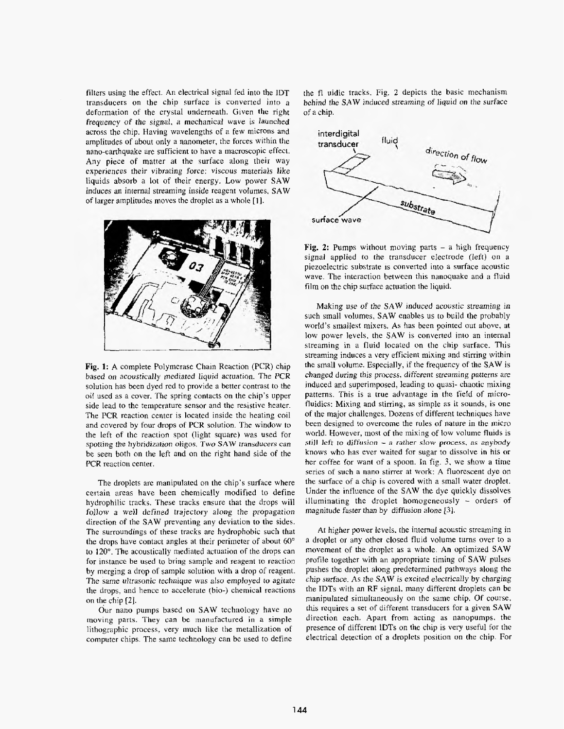filters using the effect. An electrical signal fed into the IDT transducers on the chip surface is converted into a deformation of the crystal underneath. Given the right frequency of the *signal,* a mechanical **wave is** launched across the chip. Having wavelengths of a few microns and amplitudes of about only a nanometer, the forces within the nano-earthquake are sufficient to have a macroscopic effect. Any piece of matter at the surface along their way experiences their vibrating force: viscous materials like liquids absorb a lot of their energy. Low power **SAW** induces an internal streaming inside reagent voIumes, **SAW** of larger amplitudes moves the droplet as a whole **[I].**



**Fig. 1: A** complete Polymerase Chain Reaction (PCR) chip based on acoustically mediated liquid actuation. The *PCR* solution has been dyed red to provide a better contrast to the oiI used as a cover. The spring contacts on the chip's upper side lead to the temperature sensor and the resistive heater. The **PCR** reaction center is located inside the heating coil and covered by four drops of PCR solution. The window to the left of the reaction spot (light square) **was** used for *spotting* the **hybridization** oligos. Two **SAW** *transducers* **can** be seen both on the left and on the right hand side of the **PCR** reaction center.

The droplets are manipulated on the chip's surface where certain areas have been chemically modified to define hydrophilic tracks. These tracks ensure that the drops **will** follow a well defined trajectory *along* the propagation direction of the **SAW** preventing any deviation to the sides. The surroundings of these tracks are hydrophobic such that the drops have contact angles at their perimeter of about *60"* to 120". The acoustically mediated actuation of the drops can for instance be used to bring sample and reagent to reaction by merging a drop of sample solution with a drop of reagent. *The same* ultrasonic technique was also employed to **agitate** the drops. and hence to accelerate (bio-) chemical reactions on the chip [Z].

Our nano pumps based **on** SAW technology have no moving parts. They can be manufactured in a simple lithographic process, very much like the metallization of computer chips. The same technology can be used to define the fl uidic tracks. Fig. *2* depicts the basic mechanism behind **the** SAW induced streaming of liquid on the surface of a chip.



**Fig. 2:** Pumps without moving parts - <sup>a</sup> high frequency signal applied to the transducer electrode (left) on a piezoelectric substrate **1s** converted into a surface acoustic wave. The interaction between this nanoquake and a fluid film on the **chip** surface actuation the liquid.

**Making** use of the **SAW** induced acoustic streaming in such small volumes, **SAW** enables us to build the probably world's **smallest** mixers. **As** has been pointed out above, at low power levels. the **SAW** is converted into an internal streaming in a fluid located on the chip surface. This streaming induces **a** very efficient mixing and stirring within the small volume. Especially, if the frequency of the **SAW** is changed during this process, different streaming patterns *are* induced and superimposed, leading to quasi- chaotic mixing patterns. This is a true advantage in the fieid of microfluidics: Mixing and stirring, as simple as it sounds, is one of the major challenges. Dozens of different techniques have been designed to overcome the **rules** of nature in the micro world. However, most of the mixing of **low** volume fluids is **still** lcft *to* **diffusion** - *<sup>a</sup> rather* **slow** *process. as* anybody **knows** who has ever waited for sugar to dissolve in his or her coffee for want of a spoon. In *fig.* 3, we show **a** time series of such a nano stirrer at **work: A** fluorescent dye on the surface of a chip is covered with a small water droplet. Under the influence of the **SAW** the dye quickly dissolves illuminating the droplet homogeneously - orders of **magnitude** faster than by diffusion alone **131.**

At higher power levels. the internal acoustic streaming in a droplet or any other closed fluid volume turns over to a movement of the droplet as a whole. An optimized **SAW** profile together with an appropriate timing of SAW pulses pushes the droplet along predetermined pathways along the chip surface. As the **SAW** *is* excited electrically by charging the IDTs with an RF signal, many differcnt droplets can be manipulated simultaneously on the same chip. Of course, this requires a set of different transducers for **a** given **SAW** direction each. Apart from acting as nanopumps, the presence **of** different lDTs on the chip is very useful for the electrical detection of a droplets position on the chip. For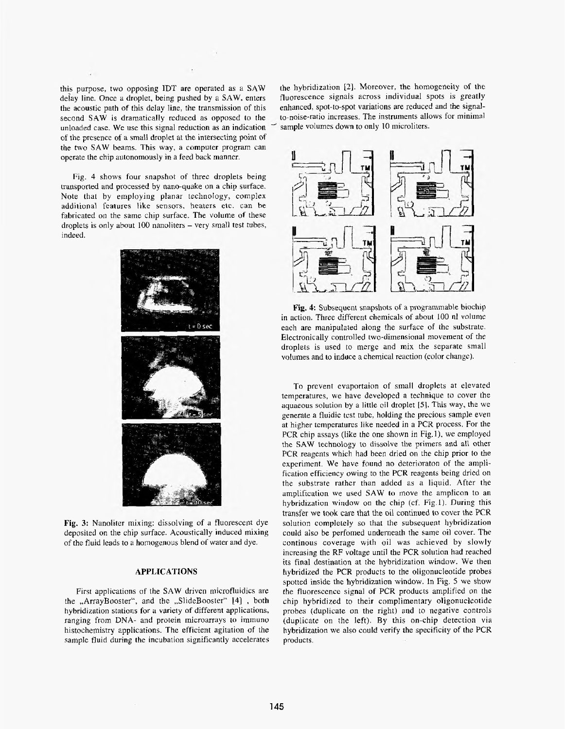<span id="page-2-0"></span>this purpose, two opposing **IDT** are operated as **a** SAW **deiay** line. Once **a** droplet, being pushed **by** a **SAW,** enters the acoustic path of this delay Iine, the transmission of this second **SAW** is dramatically reduced as opposed to the unloaded case. We use this signal reduction as **an** indication of the presence of a small droplet at the intersecting point of the two **SAW** beams. This way, a computer program can operate the chip autonomously in a feed back manner.

**Fig.** 4 shows four snapshot of three droplets being transported and processed by nano-quake on **a** chip surface. Note that by employing planar technology, complex additional features like sensors, heaters etc. can be fabricated on the same chip surface. **The** volume of these droplets **is** only about **IOU** nmoliters - very small test *tubes,* indeed.



**Fig. 3:** Nanoliter mixing: dissolving of a fluorescent dye deposited on the chip surface. Acoustically induced mixing of the fluid leads to **a** homogenous blend of water and dye.

### **APPLKATIONS**

First applications of the SAW driven microfluidics are the ,,ArrayBooster", and the ,,SlideBooster" **[4]** , both hybridization stations for a variety of different applications, ranging from DNA- and protein microarrays to immuno histochemistry applications. The efficient agitation of the **sample** fluid during the incubation significantly accelerates the hybridization *[ 2 ].* Moreover, the homogeneity of *the* fluorescence signals across individuaI spots **is** greatly enhanced, spot-to-spot variations are reduced and **the** signalto-noise-ratio increases. The instruments allows for minimal sample volumes down to only 10 microliters.



**Fig. 4** Subsequent snapshots **of** a programmable biochip in action. Three different chemicals of about 100 **nl** volume each are manipdated along the surface of *the* substrate. Electronically controlled two-dimensional movement of the droplets is used to merge and mix the separate small volumes and to induce a chemical reaction (color change).

To prevent evaportaion of small droplets at elevated temperatures, we have developed a technique to cover the aquaeous solution **by** a little oil droplet *[5].*This **way,** the we generate **a** fluidic tcst tube, holding the precious sample even at higher temperatures like needed in a PCR process. For the PCR chip assays (like the one shown in Fig. 1), we employed the **SAW** technology to **dissolve** the primers and all other PCR reagents which had been dried on the chip prior to the experiment. We have found no detcrioraton of the amplification efficiency owing to the PCR reagents being dried on the substrate rather than added as a liquid. After the amplification we used **SAW to** move the amplicon to an hybridization window on the chip (cf. Fig.1). **During** this transfer we took care that the oil continued to cover the PCR solution completely so that the subsequent hybridization could also be perfomed underneath the same oil cover. The continous coverage with oil was achieved by slowly increasing the RF voltage until the PCR solution had reached its final destination at the hybridization window. **We** then hybridized the PCR products to the oligonucleotide probes spotted inside the hybridization window. In Fig. 5 we show the fluorescence signal of PCR products amplified on the chip hybridized to their complimentary oligonucleotide probes (duplicate on the right) and to negative controls (duplicate on the left). **By** this on-chip detection via hybridization **we** also could verify the specificity of the PCR products.